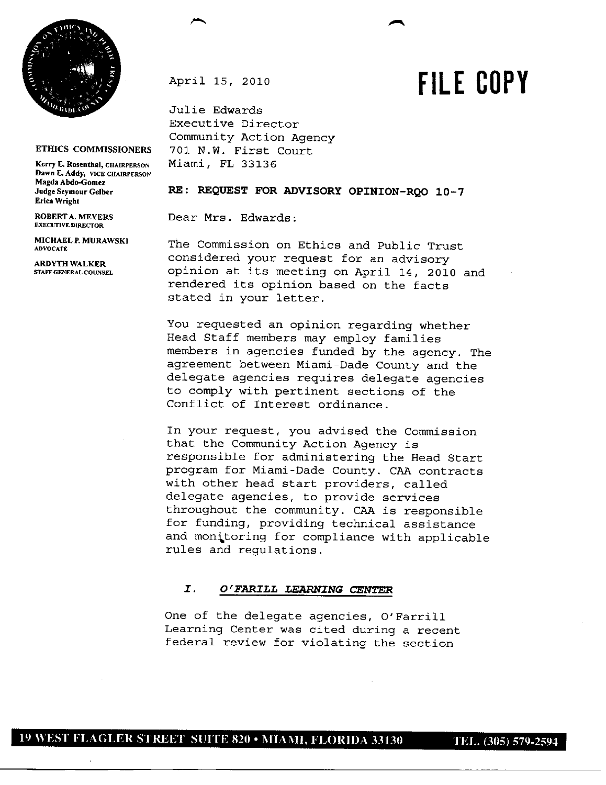

## **ETHICS COMMISSIONERS**

**Kerry E. Rosenthal, CHAIRPERSON Dawn E. Addy, VICE CHAIRPERSON Magda Abdo-Gomez Judge Seymour Gelber Erica Wright**

**ROBERTA. MEYERS EXECUTIVE DIRECTOR**

**MICHAEL** *P.* **MURAWSKI ADVOCATE**

**ARDYTH WALKER STAFFGENERAL COUNSEL** April 15, 2010

Julie Edwards Executive Director Community Action Agency 701 N.W. First Court Miami, FL 33136

## RE: REQUEST FOR ADVISORY OPINION-RQO 10-7

Dear Mrs. Edwards:

The Commission on Ethics and Public Trust considered your request for an advisory opinion at its meeting on April 14, 2010 and rendered its opinion based on the facts stated in your letter.

You requested an opinion regarding whether Head Staff members may employ families members in agencies funded by the agency. The agreement between Miami-Dade County and the delegate agencies requires delegate agencies to comply with pertinent sections of the Conflict of Interest ordinance.

In your request, you advised the Commission that the Community Action Agency is responsible for administering the Head Start program for Miami-Dade County. CAA contracts with other head start providers, called delegate agencies, to provide services throughout the community. CAA is responsible for funding, providing technical assistance and monitoring for compliance with applicable rules and regulations.

## *I. 0 '.FARILL LEARNING* CENTER

One of the delegate agencies, O'Farrill Learning Center was cited during a recent federal review for violating the section

**FILE COPY**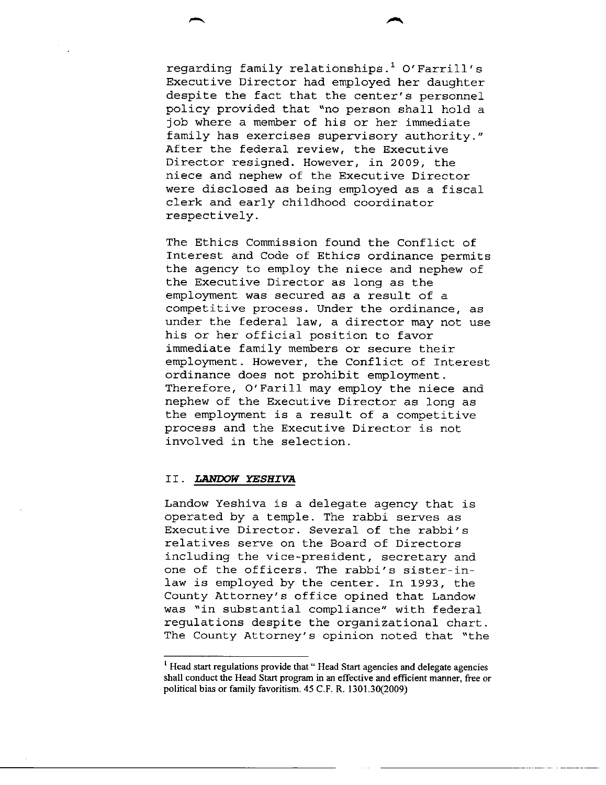regarding family relationships.' 0' Farrill' s Executive Director had employed her daughter despite the fact that the center's personnel policy provided that "no person shall hold a job where a member of his or her immediate family has exercises supervisory authority." After the federal review, the Executive Director resigned. However, in 2009, the niece and nephew of the Executive Director were disclosed as being employed as a fiscal clerk and early childhood coordinator respectively.

The Ethics Commission found the Conflict of Interest and Code of Ethics ordinance permits the agency to employ the niece and nephew of the Executive Director as long as the employment was secured as a result of a competitive process. Under the ordinance, as under the federal law, a director may not use his or her official position to favor immediate family members or secure their employment. However, the Conflict of Interest ordinance does not prohibit employment. Therefore, O'Farill may employ the niece and nephew of the Executive Director as long as the employment is a result of a competitive process and the Executive Director is not involved in the selection.

## II. *LANDOW YESHIVA*

Landow Yeshiva is a delegate agency that is operated by a temple. The rabbi serves as Executive Director. Several of the rabbi's relatives serve on the Board of Directors including the vice-president, secretary and one of the officers. The rabbi's sister-inlaw is employed by the center. In 1993, the County Attorney's office opined that Landow was "in substantial compliance" with federal regulations despite the organizational chart. The County Attorney's opinion noted that "the

<sup>&</sup>lt;sup>1</sup> Head start regulations provide that "Head Start agencies and delegate agencies shall conduct the Head Start program in an effective and efficient manner, free or political bias or family favoritism. 45 C.F. R. 1301.30(2009)